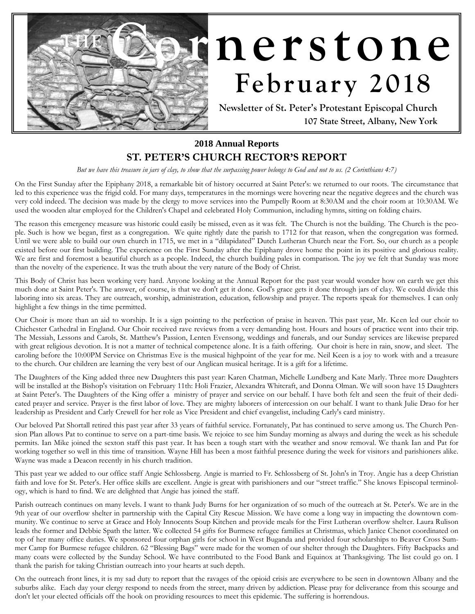

# $nerstone$ February 2018

**Newsletter of St. Peter's Protestant Episcopal Church 107 State Street, Albany, New York**

#### **2018 Annual Reports**

#### **ST. PETER'S CHURCH RECTOR'S REPORT**

*But we have this treasure in jars of clay, to show that the surpassing power belongs to God and not to us. (2 Corinthians 4:7)*

On the First Sunday after the Epiphany 2018, a remarkable bit of history occurred at Saint Peter's: we returned to our roots. The circumstance that led to this experience was the frigid cold. For many days, temperatures in the mornings were hovering near the negative degrees and the church was very cold indeed. The decision was made by the clergy to move services into the Pumpelly Room at 8:30AM and the choir room at 10:30AM. We used the wooden altar employed for the Children's Chapel and celebrated Holy Communion, including hymns, sitting on folding chairs.

The reason this emergency measure was historic could easily be missed, even as it was felt. The Church is not the building. The Church is the people. Such is how we began, first as a congregation. We quite rightly date the parish to 1712 for that reason, when the congregation was formed. Until we were able to build our own church in 1715, we met in a "dilapidated" Dutch Lutheran Church near the Fort. So, our church as a people existed before our first building. The experience on the First Sunday after the Epiphany drove home the point in its positive and glorious reality. We are first and foremost a beautiful church as a people. Indeed, the church building pales in comparison. The joy we felt that Sunday was more than the novelty of the experience. It was the truth about the very nature of the Body of Christ.

This Body of Christ has been working very hard. Anyone looking at the Annual Report for the past year would wonder how on earth we get this much done at Saint Peter's. The answer, of course, is that we don't get it done. God's grace gets it done through jars of clay. We could divide this laboring into six areas. They are outreach, worship, administration, education, fellowship and prayer. The reports speak for themselves. I can only highlight a few things in the time permitted.

Our Choir is more than an aid to worship. It is a sign pointing to the perfection of praise in heaven. This past year, Mr. Keen led our choir to Chichester Cathedral in England. Our Choir received rave reviews from a very demanding host. Hours and hours of practice went into their trip. The Messiah, Lessons and Carols, St. Matthew's Passion, Lenten Evensong, weddings and funerals, and our Sunday services are likewise prepared with great religious devotion. It is not a matter of technical competence alone. It is a faith offering. Our choir is here in rain, snow, and sleet. The caroling before the 10:00PM Service on Christmas Eve is the musical highpoint of the year for me. Neil Keen is a joy to work with and a treasure to the church. Our children are learning the very best of our Anglican musical heritage. It is a gift for a lifetime.

The Daughters of the King added three new Daughters this past year: Karen Chatman, Michelle Lundberg and Kate Marly. Three more Daughters will be installed at the Bishop's visitation on February 11th: Holi Frazier, Alexandra Whitcraft, and Donna Olman. We will soon have 15 Daughters at Saint Peter's. The Daughters of the King offer a ministry of prayer and service on our behalf. I have both felt and seen the fruit of their dedicated prayer and service. Prayer is the first labor of love. They are mighty laborers of intercession on our behalf. I want to thank Julie Drao for her leadership as President and Carly Crewell for her role as Vice President and chief evangelist, including Carly's card ministry.

Our beloved Pat Shortall retired this past year after 33 years of faithful service. Fortunately, Pat has continued to serve among us. The Church Pension Plan allows Pat to continue to serve on a part-time basis. We rejoice to see him Sunday morning as always and during the week as his schedule permits. Ian Mike joined the sexton staff this past year. It has been a tough start with the weather and snow removal. We thank Ian and Pat for working together so well in this time of transition. Wayne Hill has been a most faithful presence during the week for visitors and parishioners alike. Wayne was made a Deacon recently in his church tradition.

This past year we added to our office staff Angie Schlossberg. Angie is married to Fr. Schlossberg of St. John's in Troy. Angie has a deep Christian faith and love for St. Peter's. Her office skills are excellent. Angie is great with parishioners and our "street traffic." She knows Episcopal terminology, which is hard to find. We are delighted that Angie has joined the staff.

Parish outreach continues on many levels. I want to thank Judy Burns for her organization of so much of the outreach at St. Peter's. We are in the 9th year of our overflow shelter in partnership with the Capital City Rescue Mission. We have come a long way in impacting the downtown community. We continue to serve at Grace and Holy Innocents Soup Kitchen and provide meals for the First Lutheran overflow shelter. Laura Rulison leads the former and Debbie Spath the latter. We collected 54 gifts for Burmese refugee families at Christmas, which Janice Chenot coordinated on top of her many office duties. We sponsored four orphan girls for school in West Buganda and provided four scholarships to Beaver Cross Summer Camp for Burmese refugee children. 62 "Blessing Bags" were made for the women of our shelter through the Daughters. Fifty Backpacks and many coats were collected by the Sunday School. We have contributed to the Food Bank and Equinox at Thanksgiving. The list could go on. I thank the parish for taking Christian outreach into your hearts at such depth.

On the outreach front lines, it is my sad duty to report that the ravages of the opioid crisis are everywhere to be seen in downtown Albany and the suburbs alike. Each day your clergy respond to needs from the street, many driven by addiction. Please pray for deliverance from this scourge and don't let your elected officials off the hook on providing resources to meet this epidemic. The suffering is horrendous.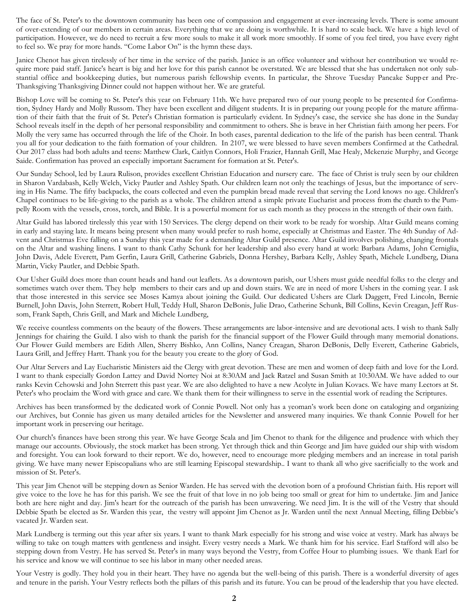The face of St. Peter's to the downtown community has been one of compassion and engagement at ever-increasing levels. There is some amount of over-extending of our members in certain areas. Everything that we are doing is worthwhile. It is hard to scale back. We have a high level of participation. However, we do need to recruit a few more souls to make it all work more smoothly. If some of you feel tired, you have every right to feel so. We pray for more hands. "Come Labor On" is the hymn these days.

Janice Chenot has given tirelessly of her time in the service of the parish. Janice is an office volunteer and without her contribution we would require more paid staff. Janice's heart is big and her love for this parish cannot be overstated. We are blessed that she has undertaken not only substantial office and bookkeeping duties, but numerous parish fellowship events. In particular, the Shrove Tuesday Pancake Supper and Pre-Thanksgiving Thanksgiving Dinner could not happen without her. We are grateful.

Bishop Love will be coming to St. Peter's this year on February 11th. We have prepared two of our young people to be presented for Confirmation, Sydney Hardy and Molly Russom. They have been excellent and diligent students. It is in preparing our young people for the mature affirmation of their faith that the fruit of St. Peter's Christian formation is particularly evident. In Sydney's case, the service she has done in the Sunday School reveals itself in the depth of her personal responsibility and commitment to others. She is brave in her Christian faith among her peers. For Molly the very same has occurred through the life of the Choir. In both cases, parental dedication to the life of the parish has been central. Thank you all for your dedication to the faith formation of your children. In 2107, we were blessed to have seven members Confirmed at the Cathedral. Our 2017 class had both adults and teens: Matthew Clark, Caitlyn Connors, Holi Frazier, Hannah Grill, Mae Healy, Mckenzie Murphy, and George Saide. Confirmation has proved an especially important Sacrament for formation at St. Peter's.

Our Sunday School, led by Laura Rulison, provides excellent Christian Education and nursery care. The face of Christ is truly seen by our children in Sharon Vardabash, Kelly Welch, Vicky Pautler and Ashley Spath. Our children learn not only the teachings of Jesus, but the importance of serving in His Name. The fifty backpacks, the coats collected and even the pumpkin bread made reveal that serving the Lord knows no age. Children's Chapel continues to be life-giving to the parish as a whole. The children attend a simple private Eucharist and process from the church to the Pumpelly Room with the vessels, cross, torch, and Bible. It is a powerful moment for us each month as they process in the strength of their own faith.

Altar Guild has labored tirelessly this year with 150 Services. The clergy depend on their work to be ready for worship. Altar Guild means coming in early and staying late. It means being present when many would prefer to rush home, especially at Christmas and Easter. The 4th Sunday of Advent and Christmas Eve falling on a Sunday this year made for a demanding Altar Guild presence. Altar Guild involves polishing, changing frontals on the Altar and washing linens. I want to thank Cathy Schunk for her leadership and also every hand at work: Barbara Adams, John Cerniglia, John Davis, Adele Everett, Pam Gerfin, Laura Grill, Catherine Gabriels, Donna Hershey, Barbara Kelly, Ashley Spath, Michele Lundberg, Diana Martin, Vicky Pautler, and Debbie Spath.

Our Usher Guild does more than count heads and hand out leaflets. As a downtown parish, our Ushers must guide needful folks to the clergy and sometimes watch over them. They help members to their cars and up and down stairs. We are in need of more Ushers in the coming year. I ask that those interested in this service see Moses Kamya about joining the Guild. Our dedicated Ushers are Clark Daggett, Fred Lincoln, Bernie Burnell, John Davis, John Sterrett, Robert Hull, Teddy Hull, Sharon DeBonis, Julie Drao, Catherine Schunk, Bill Collins, Kevin Creagan, Jeff Russom, Frank Sapth, Chris Grill, and Mark and Michele Lundberg,

We receive countless comments on the beauty of the flowers. These arrangements are labor-intensive and are devotional acts. I wish to thank Sally Jennings for chairing the Guild. I also wish to thank the parish for the financial support of the Flower Guild through many memorial donations. Our Flower Guild members are Edith Allen, Sherry Bishko, Ann Collins, Nancy Creagan, Sharon DeBonis, Delly Everett, Catherine Gabriels, Laura Grill, and Jeffrey Hartt. Thank you for the beauty you create to the glory of God.

Our Altar Servers and Lay Eucharistic Ministers aid the Clergy with great devotion. These are men and women of deep faith and love for the Lord. I want to thank especially Gordon Lattey and David Nortey Noi at 8:30AM and Jack Ratzel and Susan Smith at 10:30AM. We have added to our ranks Kevin Cehowski and John Sterrett this past year. We are also delighted to have a new Acolyte in Julian Kovacs. We have many Lectors at St. Peter's who proclaim the Word with grace and care. We thank them for their willingness to serve in the essential work of reading the Scriptures.

Archives has been transformed by the dedicated work of Connie Powell. Not only has a yeoman's work been done on cataloging and organizing our Archives, but Connie has given us many detailed articles for the Newsletter and answered many inquiries. We thank Connie Powell for her important work in preserving our heritage.

Our church's finances have been strong this year. We have George Scala and Jim Chenot to thank for the diligence and prudence with which they manage our accounts. Obviously, the stock market has been strong. Yet through thick and thin George and Jim have guided our ship with wisdom and foresight. You can look forward to their report. We do, however, need to encourage more pledging members and an increase in total parish giving. We have many newer Episcopalians who are still learning Episcopal stewardship.. I want to thank all who give sacrificially to the work and mission of St. Peter's.

This year Jim Chenot will be stepping down as Senior Warden. He has served with the devotion born of a profound Christian faith. His report will give voice to the love he has for this parish. We see the fruit of that love in no job being too small or great for him to undertake. Jim and Janice both are here night and day. Jim's heart for the outreach of the parish has been unwavering. We need Jim. It is the will of the Vestry that should Debbie Spath be elected as Sr. Warden this year, the vestry will appoint Jim Chenot as Jr. Warden until the next Annual Meeting, filling Debbie's vacated Jr. Warden seat.

Mark Lundberg is terming out this year after six years. I want to thank Mark especially for his strong and wise voice at vestry. Mark has always be willing to take on tough matters with gentleness and insight. Every vestry needs a Mark. We thank him for his service. Earl Stafford will also be stepping down from Vestry. He has served St. Peter's in many ways beyond the Vestry, from Coffee Hour to plumbing issues. We thank Earl for his service and know we will continue to see his labor in many other needed areas.

Your Vestry is godly. They hold you in their heart. They have no agenda but the well-being of this parish. There is a wonderful diversity of ages and tenure in the parish. Your Vestry reflects both the pillars of this parish and its future. You can be proud of the leadership that you have elected.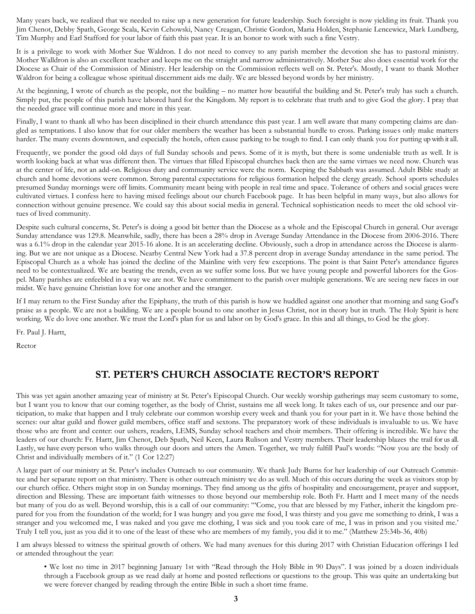Many years back, we realized that we needed to raise up a new generation for future leadership. Such foresight is now yielding its fruit. Thank you Jim Chenot, Debby Spath, George Scala, Kevin Cehowski, Nancy Creagan, Christie Gordon, Maria Holden, Stephanie Lencewicz, Mark Lundberg, Tim Murphy and Earl Stafford for your labor of faith this past year. It is an honor to work with such a fine Vestry.

It is a privilege to work with Mother Sue Waldron. I do not need to convey to any parish member the devotion she has to pastoral ministry. Mother Walldron is also an excellent teacher and keeps me on the straight and narrow administratively. Mother Sue also does essential work for the Diocese as Chair of the Commission of Ministry. Her leadership on the Commission reflects well on St. Peter's. Mostly, I want to thank Mother Waldron for being a colleague whose spiritual discernment aids me daily. We are blessed beyond words by her ministry.

At the beginning, I wrote of church as the people, not the building – no matter how beautiful the building and St. Peter's truly has such a church. Simply put, the people of this parish have labored hard for the Kingdom. My report is to celebrate that truth and to give God the glory. I pray that the needed grace will continue more and more in this year.

Finally, I want to thank all who has been disciplined in their church attendance this past year. I am well aware that many competing claims are dangled as temptations. I also know that for our older members the weather has been a substantial hurdle to cross. Parking issues only make matters harder. The many events downtown, and especially the hotels, often cause parking to be tough to find. I can only thank you for putting up with it all.

Frequently, we ponder the good old days of full Sunday schools and pews. Some of it is myth, but there is some undeniable truth as well. It is worth looking back at what was different then. The virtues that filled Episcopal churches back then are the same virtues we need now. Church was at the center of life, not an add-on. Religious duty and community service were the norm. Keeping the Sabbath was assumed. Adult Bible study at church and home devotions were common. Strong parental expectations for religious formation helped the clergy greatly. School sports schedules presumed Sunday mornings were off limits. Community meant being with people in real time and space. Tolerance of others and social graces were cultivated virtues. I confess here to having mixed feelings about our church Facebook page. It has been helpful in many ways, but also allows for connection without genuine presence. We could say this about social media in general. Technical sophistication needs to meet the old school virtues of lived community.

Despite such cultural concerns, St. Peter's is doing a good bit better than the Diocese as a whole and the Episcopal Church in general. Our average Sunday attendance was 129.8. Meanwhile, sadly, there has been a 28% drop in Average Sunday Attendance in the Diocese from 2006-2016. There was a 6.1% drop in the calendar year 2015-16 alone. It is an accelerating decline. Obviously, such a drop in attendance across the Diocese is alarming. But we are not unique as a Diocese. Nearby Central New York had a 37.8 percent drop in average Sunday attendance in the same period. The Episcopal Church as a whole has joined the decline of the Mainline with very few exceptions. The point is that Saint Peter's attendance figures need to be contextualized. We are beating the trends, even as we suffer some loss. But we have young people and powerful laborers for the Gospel. Many parishes are enfeebled in a way we are not. We have commitment to the parish over multiple generations. We are seeing new faces in our midst. We have genuine Christian love for one another and the stranger.

If I may return to the First Sunday after the Epiphany, the truth of this parish is how we huddled against one another that morning and sang God's praise as a people. We are not a building. We are a people bound to one another in Jesus Christ, not in theory but in truth. The Holy Spirit is here working. We do love one another. We trust the Lord's plan for us and labor on by God's grace. In this and all things, to God be the glory.

Fr. Paul J. Hartt,

Rector

#### **ST. PETER'S CHURCH ASSOCIATE RECTOR'S REPORT**

This was yet again another amazing year of ministry at St. Peter's Episcopal Church. Our weekly worship gatherings may seem customary to some, but I want you to know that our coming together, as the body of Christ, sustains me all week long. It takes each of us, our presence and our participation, to make that happen and I truly celebrate our common worship every week and thank you for your part in it. We have those behind the scenes: our altar guild and flower guild members, office staff and sextons. The preparatory work of these individuals is invaluable to us. We have those who are front and center: our ushers, readers, LEMS, Sunday school teachers and choir members. Their offering is incredible. We have the leaders of our church: Fr. Hartt, Jim Chenot, Deb Spath, Neil Keen, Laura Rulison and Vestry members. Their leadership blazes the trail for us all. Lastly, we have every person who walks through our doors and utters the Amen. Together, we truly fulfill Paul's words: "Now you are the body of Christ and individually members of it." (1 Cor 12:27)

A large part of our ministry at St. Peter's includes Outreach to our community. We thank Judy Burns for her leadership of our Outreach Committee and her separate report on that ministry. There is other outreach ministry we do as well. Much of this occurs during the week as visitors stop by our church office. Others might stop in on Sunday mornings. They find among us the gifts of hospitality and encouragement, prayer and support, direction and Blessing. These are important faith witnesses to those beyond our membership role. Both Fr. Hartt and I meet many of the needs but many of you do as well. Beyond worship, this is a call of our community: "'Come, you that are blessed by my Father, inherit the kingdom prepared for you from the foundation of the world; for I was hungry and you gave me food, I was thirsty and you gave me something to drink, I was a stranger and you welcomed me, I was naked and you gave me clothing, I was sick and you took care of me, I was in prison and you visited me.' Truly I tell you, just as you did it to one of the least of these who are members of my family, you did it to me." (Matthew 25:34b-36, 40b)

I am always blessed to witness the spiritual growth of others. We had many avenues for this during 2017 with Christian Education offerings I led or attended throughout the year:

• We lost no time in 2017 beginning January 1st with "Read through the Holy Bible in 90 Days". I was joined by a dozen individuals through a Facebook group as we read daily at home and posted reflections or questions to the group. This was quite an undertaking but we were forever changed by reading through the entire Bible in such a short time frame.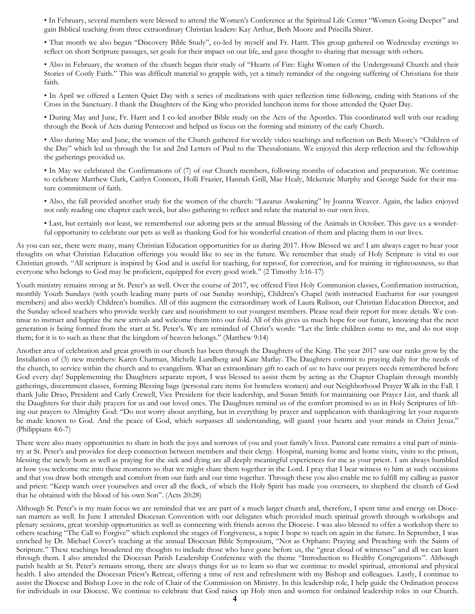• In February, several members were blessed to attend the Women's Conference at the Spiritual Life Center "Women Going Deeper" and gain Biblical teaching from three extraordinary Christian leaders: Kay Arthur, Beth Moore and Priscilla Shirer.

• That month we also began "Discovery Bible Study", co-led by myself and Fr. Hartt. This group gathered on Wednesday evenings to reflect on short Scripture passages, set goals for their impact on our life, and gave thought to sharing that message with others.

• Also in February, the women of the church began their study of "Hearts of Fire: Eight Women of the Underground Church and their Stories of Costly Faith." This was difficult material to grapple with, yet a timely reminder of the ongoing suffering of Christians for their faith.

• In April we offered a Lenten Quiet Day with a series of meditations with quiet reflection time following, ending with Stations of the Cross in the Sanctuary. I thank the Daughters of the King who provided luncheon items for those attended the Quiet Day.

• During May and June, Fr. Hartt and I co-led another Bible study on the Acts of the Apostles. This coordinated well with our reading through the Book of Acts during Pentecost and helped us focus on the forming and ministry of the early Church.

• Also during May and June, the women of the Church gathered for weekly video teachings and reflection on Beth Moore's "Children of the Day" which led us through the 1st and 2nd Letters of Paul to the Thessalonians. We enjoyed this deep reflection and the fellowship the gatherings provided us.

• In May we celebrated the Confirmations of (7) of our Church members, following months of education and preparation. We continue to celebrate Matthew Clark, Caitlyn Connors, Holli Frazier, Hannah Grill, Mae Healy, Mckenzie Murphy and George Saide for their mature commitment of faith.

• Also, the fall provided another study for the women of the church: "Lazarus Awakening" by Joanna Weaver. Again, the ladies enjoyed not only reading one chapter each week, but also gathering to reflect and relate the material to our own lives.

• Last, but certainly not least, we remembered our adoring pets at the annual Blessing of the Animals in October. This gave us a wonderful opportunity to celebrate our pets as well as thanking God for his wonderful creation of them and placing them in our lives.

As you can see, there were many, many Christian Education opportunities for us during 2017. How Blessed we are! I am always eager to hear your thoughts on what Christian Education offerings you would like to see in the future. We remember that study of Holy Scripture is vital to our Christian growth. "All scripture is inspired by God and is useful for teaching, for reproof, for correction, and for training in righteousness, so that everyone who belongs to God may be proficient, equipped for every good work." (2 Timothy 3:16-17)

Youth ministry remains strong at St. Peter's as well. Over the course of 2017, we offered First Holy Communion classes, Confirmation instruction, monthly Youth Sundays (with youth leading many parts of our Sunday worship), Children's Chapel (with instructed Eucharist for our youngest members) and also weekly Children's homilies. All of this augment the extraordinary work of Laura Rulison, our Christian Education Director, and the Sunday school teachers who provide weekly care and nourishment to our youngest members. Please read their report for more details. We continue to instruct and baptize the new arrivals and welcome them into our fold. All of this gives us much hope for our future, knowing that the next generation is being formed from the start at St. Peter's. We are reminded of Christ's words: "Let the little children come to me, and do not stop them; for it is to such as these that the kingdom of heaven belongs." (Matthew 9:14)

Another area of celebration and great growth in our church has been through the Daughters of the King. The year 2017 saw our ranks grow by the Installation of (3) new members: Karen Chatman, Michelle Lundberg and Kate Marlay. The Daughters commit to praying daily for the needs of the church, to service within the church and to evangelism. What an extraordinary gift to each of us: to have our prayers needs remembered before God every day! Supplementing the Daughters separate report, I was blessed to assist them by acting as the Chapter Chaplain through monthly gatherings, discernment classes, forming Blessing bags (personal care items for homeless women) and our Neighborhood Prayer Walk in the Fall. I thank Julie Drao, President and Carly Crewell, Vice President for their leadership, and Susan Smith for maintaining our Prayer List, and thank all the Daughters for their daily prayers for us and our loved ones. The Daughters remind us of the comfort promised to us in Holy Scriptures of lifting our prayers to Almighty God: "Do not worry about anything, but in everything by prayer and supplication with thanksgiving let your requests be made known to God. And the peace of God, which surpasses all understanding, will guard your hearts and your minds in Christ Jesus." (Philippians 4:6-7)

There were also many opportunities to share in both the joys and sorrows of you and your family's lives. Pastoral care remains a vital part of ministry at St. Peter's and provides for deep connection between members and their clergy. Hospital, nursing home and home visits, visits to the prison, blessing the newly born as well as praying for the sick and dying are all deeply meaningful experiences for me as your priest. I am always humbled at how you welcome me into these moments so that we might share them together in the Lord. I pray that I bear witness to him at such occasions and that you draw both strength and comfort from our faith and our time together. Through these you also enable me to fulfill my calling as pastor and priest: "Keep watch over yourselves and over all the flock, of which the Holy Spirit has made you overseers, to shepherd the church of God that he obtained with the blood of his own Son". (Acts 20:28)

Although St. Peter's is my main focus we are reminded that we are part of a much larger church and, therefore, I spent time and energy on Diocesan matters as well. In June I attended Diocesan Convention with our delegates which provided much spiritual growth through workshops and plenary sessions, great worship opportunities as well as connecting with friends across the Diocese. I was also blessed to offer a workshop there to others teaching "The Call to Forgive" which explored the stages of Forgiveness, a topic I hope to teach on again in the future. In September, I was enriched by Dr. Michael Cover's teaching at the annual Diocesan Bible Symposium, "Not as Orphans: Praying and Preaching with the Saints of Scripture." These teachings broadened my thoughts to include those who have gone before us, the "great cloud of witnesses" and all we can learn through them. I also attended the Diocesan Parish Leadership Conference with the theme "Introduction to Healthy Congregations". Although parish health at St. Peter's remains strong, there are always things for us to learn so that we continue to model spiritual, emotional and physical health. I also attended the Diocesan Priest's Retreat, offering a time of rest and refreshment with my Bishop and colleagues. Lastly, I continue to assist the Diocese and Bishop Love in the role of Chair of the Commission on Ministry. In this leadership role, I help guide the Ordination process for individuals in our Diocese. We continue to celebrate that God raises up Holy men and women for ordained leadership roles in our Church.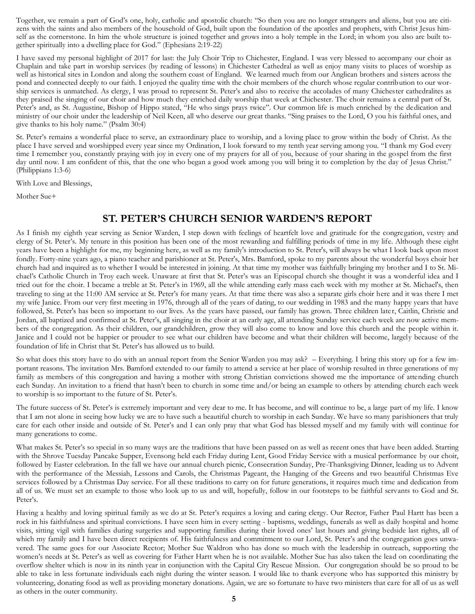Together, we remain a part of God's one, holy, catholic and apostolic church: "So then you are no longer strangers and aliens, but you are citizens with the saints and also members of the household of God, built upon the foundation of the apostles and prophets, with Christ Jesus himself as the cornerstone. In him the whole structure is joined together and grows into a holy temple in the Lord; in whom you also are built together spiritually into a dwelling place for God." (Ephesians 2:19-22)

I have saved my personal highlight of 2017 for last: the July Choir Trip to Chichester, England. I was very blessed to accompany our choir as Chaplain and take part in worship services (by reading of lessons) in Chichester Cathedral as well as enjoy many visits to places of worship as well as historical sites in London and along the southern coast of England. We learned much from our Anglican brothers and sisters across the pond and connected deeply to our faith. I enjoyed the quality time with the choir members of the church whose regular contribution to our worship services is unmatched. As clergy, I was proud to represent St. Peter's and also to receive the accolades of many Chichester cathedralites as they praised the singing of our choir and how much they enriched daily worship that week at Chichester. The choir remains a central part of St. Peter's and, as St. Augustine, Bishop of Hippo stated, "He who sings prays twice". Our common life is much enriched by the dedication and ministry of our choir under the leadership of Neil Keen, all who deserve our great thanks. "Sing praises to the Lord, O you his faithful ones, and give thanks to his holy name." (Psalm 30:4)

St. Peter's remains a wonderful place to serve, an extraordinary place to worship, and a loving place to grow within the body of Christ. As the place I have served and worshipped every year since my Ordination, I look forward to my tenth year serving among you. "I thank my God every time I remember you, constantly praying with joy in every one of my prayers for all of you, because of your sharing in the gospel from the first day until now. I am confident of this, that the one who began a good work among you will bring it to completion by the day of Jesus Christ." (Philippians 1:3-6)

With Love and Blessings,

Mother Sue+

#### **ST. PETER'S CHURCH SENIOR WARDEN'S REPORT**

As I finish my eighth year serving as Senior Warden, I step down with feelings of heartfelt love and gratitude for the congregation, vestry and clergy of St. Peter's. My tenure in this position has been one of the most rewarding and fulfilling periods of time in my life. Although these eight years have been a highlight for me, my beginning here, as well as my family's introduction to St. Peter's, will always be what I look back upon most fondly. Forty-nine years ago, a piano teacher and parishioner at St. Peter's, Mrs. Bamford, spoke to my parents about the wonderful boys choir her church had and inquired as to whether I would be interested in joining. At that time my mother was faithfully bringing my brother and I to St. Michael's Catholic Church in Troy each week. Unaware at first that St. Peter's was an Episcopal church she thought it was a wonderful idea and I tried out for the choir. I became a treble at St. Peter's in 1969, all the while attending early mass each week with my mother at St. Michael's, then traveling to sing at the 11:00 AM service at St. Peter's for many years. At that time there was also a separate girls choir here and it was there I met my wife Janice. From our very first meeting in 1976, through all of the years of dating, to our wedding in 1983 and the many happy years that have followed, St. Peter's has been so important to our lives. As the years have passed, our family has grown. Three children later, Caitlin, Christie and Jordan, all baptized and confirmed at St. Peter's, all singing in the choir at an early age, all attending Sunday service each week are now active members of the congregation. As their children, our grandchildren, grow they will also come to know and love this church and the people within it. Janice and I could not be happier or prouder to see what our children have become and what their children will become, largely because of the foundation of life in Christ that St. Peter's has allowed us to build.

So what does this story have to do with an annual report from the Senior Warden you may ask? – Everything. I bring this story up for a few important reasons. The invitation Mrs. Bamford extended to our family to attend a service at her place of worship resulted in three generations of my family as members of this congregation and having a mother with strong Christian convictions showed me the importance of attending church each Sunday. An invitation to a friend that hasn't been to church in some time and/or being an example to others by attending church each week to worship is so important to the future of St. Peter's.

The future success of St. Peter's is extremely important and very dear to me. It has become, and will continue to be, a large part of my life. I know that I am not alone in seeing how lucky we are to have such a beautiful church to worship in each Sunday. We have so many parishioners that truly care for each other inside and outside of St. Peter's and I can only pray that what God has blessed myself and my family with will continue for many generations to come.

What makes St. Peter's so special in so many ways are the traditions that have been passed on as well as recent ones that have been added. Starting with the Shrove Tuesday Pancake Supper, Evensong held each Friday during Lent, Good Friday Service with a musical performance by our choir, followed by Easter celebration. In the fall we have our annual church picnic, Consecration Sunday, Pre-Thanksgiving Dinner, leading us to Advent with the performance of the Messiah, Lessons and Carols, the Christmas Pageant, the Hanging of the Greens and two beautiful Christmas Eve services followed by a Christmas Day service. For all these traditions to carry on for future generations, it requires much time and dedication from all of us. We must set an example to those who look up to us and will, hopefully, follow in our footsteps to be faithful servants to God and St. Peter's.

Having a healthy and loving spiritual family as we do at St. Peter's requires a loving and caring clergy. Our Rector, Father Paul Hartt has been a rock in his faithfulness and spiritual convictions. I have seen him in every setting - baptisms, weddings, funerals as well as daily hospital and home visits, sitting vigil with families during surgeries and supporting families during their loved ones' last hours and giving bedside last rights, all of which my family and I have been direct recipients of. His faithfulness and commitment to our Lord, St. Peter's and the congregation goes unwavered. The same goes for our Associate Rector; Mother Sue Waldron who has done so much with the leadership in outreach, supporting the women's needs at St. Peter's as well as covering for Father Hartt when he is not available. Mother Sue has also taken the lead on coordinating the overflow shelter which is now in its ninth year in conjunction with the Capital City Rescue Mission. Our congregation should be so proud to be able to take in less fortunate individuals each night during the winter season. I would like to thank everyone who has supported this ministry by volunteering, donating food as well as providing monetary donations. Again, we are so fortunate to have two ministers that care for all of us as well as others in the outer community.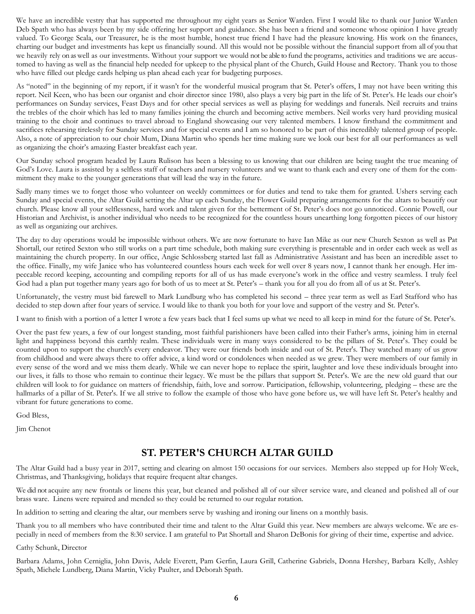We have an incredible vestry that has supported me throughout my eight years as Senior Warden. First I would like to thank our Junior Warden Deb Spath who has always been by my side offering her support and guidance. She has been a friend and someone whose opinion I have greatly valued. To George Scala, our Treasurer, he is the most humble, honest true friend I have had the pleasure knowing. His work on the finances, charting our budget and investments has kept us financially sound. All this would not be possible without the financial support from all of you that we heavily rely on as well as our investments. Without your support we would not be able to fund the programs, activities and traditions we are accustomed to having as well as the financial help needed for upkeep to the physical plant of the Church, Guild House and Rectory. Thank you to those who have filled out pledge cards helping us plan ahead each year for budgeting purposes.

As "noted" in the beginning of my report, if it wasn't for the wonderful musical program that St. Peter's offers, I may not have been writing this report. Neil Keen, who has been our organist and choir director since 1980, also plays a very big part in the life of St. Peter's. He leads our choir's performances on Sunday services, Feast Days and for other special services as well as playing for weddings and funerals. Neil recruits and trains the trebles of the choir which has led to many families joining the church and becoming active members. Neil works very hard providing musical training to the choir and continues to travel abroad to England showcasing our very talented members. I know firsthand the commitment and sacrifices rehearsing tirelessly for Sunday services and for special events and I am so honored to be part of this incredibly talented group of people. Also, a note of appreciation to our choir Mum, Diana Martin who spends her time making sure we look our best for all our performances as well as organizing the choir's amazing Easter breakfast each year.

Our Sunday school program headed by Laura Rulison has been a blessing to us knowing that our children are being taught the true meaning of God's Love. Laura is assisted by a selfless staff of teachers and nursery volunteers and we want to thank each and every one of them for the commitment they make to the younger generations that will lead the way in the future.

Sadly many times we to forget those who volunteer on weekly committees or for duties and tend to take them for granted. Ushers serving each Sunday and special events, the Altar Guild setting the Altar up each Sunday, the Flower Guild preparing arrangements for the altars to beautify our church. Please know all your selflessness, hard work and talent given for the betterment of St. Peter's does not go unnoticed. Connie Powell, our Historian and Archivist, is another individual who needs to be recognized for the countless hours unearthing long forgotten pieces of our history as well as organizing our archives.

The day to day operations would be impossible without others. We are now fortunate to have Ian Mike as our new Church Sexton as well as Pat Shortall, our retired Sexton who still works on a part time schedule, both making sure everything is presentable and in order each week as well as maintaining the church property. In our office, Angie Schlossberg started last fall as Administrative Assistant and has been an incredible asset to the office. Finally, my wife Janice who has volunteered countless hours each week for well over 8 years now, I cannot thank her enough. Her impeccable record keeping, accounting and compiling reports for all of us has made everyone's work in the office and vestry seamless. I truly feel God had a plan put together many years ago for both of us to meet at St. Peter's – thank you for all you do from all of us at St. Peter's.

Unfortunately, the vestry must bid farewell to Mark Lundburg who has completed his second – three year term as well as Earl Stafford who has decided to step down after four years of service. I would like to thank you both for your love and support of the vestry and St. Peter's.

I want to finish with a portion of a letter I wrote a few years back that I feel sums up what we need to all keep in mind for the future of St. Peter's.

Over the past few years, a few of our longest standing, most faithful parishioners have been called into their Father's arms, joining him in eternal light and happiness beyond this earthly realm. These individuals were in many ways considered to be the pillars of St. Peter's. They could be counted upon to support the church's every endeavor. They were our friends both inside and out of St. Peter's. They watched many of us grow from childhood and were always there to offer advice, a kind word or condolences when needed as we grew. They were members of our family in every sense of the word and we miss them dearly. While we can never hope to replace the spirit, laughter and love these individuals brought into our lives, it falls to those who remain to continue their legacy. We must be the pillars that support St. Peter's. We are the new old guard that our children will look to for guidance on matters of friendship, faith, love and sorrow. Participation, fellowship, volunteering, pledging – these are the hallmarks of a pillar of St. Peter's. If we all strive to follow the example of those who have gone before us, we will have left St. Peter's healthy and vibrant for future generations to come.

God Bless,

Jim Chenot

#### **ST. PETER'S CHURCH ALTAR GUILD**

The Altar Guild had a busy year in 2017, setting and clearing on almost 150 occasions for our services. Members also stepped up for Holy Week, Christmas, and Thanksgiving, holidays that require frequent altar changes.

We did not acquire any new frontals or linens this year, but cleaned and polished all of our silver service ware, and cleaned and polished all of our brass ware. Linens were repaired and mended so they could be returned to our regular rotation.

In addition to setting and clearing the altar, our members serve by washing and ironing our linens on a monthly basis.

Thank you to all members who have contributed their time and talent to the Altar Guild this year. New members are always welcome. We are especially in need of members from the 8:30 service. I am grateful to Pat Shortall and Sharon DeBonis for giving of their time, expertise and advice.

Cathy Schunk, Director

Barbara Adams, John Cerniglia, John Davis, Adele Everett, Pam Gerfin, Laura Grill, Catherine Gabriels, Donna Hershey, Barbara Kelly, Ashley Spath, Michele Lundberg, Diana Martin, Vicky Paulter, and Deborah Spath.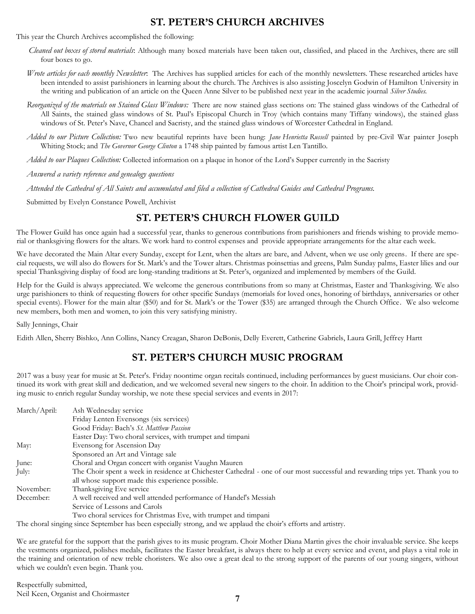#### **ST. PETER'S CHURCH ARCHIVES**

#### This year the Church Archives accomplished the following:

- *Cleaned out boxes of stored materials*: Although many boxed materials have been taken out, classified, and placed in the Archives, there are still four boxes to go.
- *Wrote articles for each monthly Newsletter*: The Archives has supplied articles for each of the monthly newsletters. These researched articles have been intended to assist parishioners in learning about the church. The Archives is also assisting Joscelyn Godwin of Hamilton University in the writing and publication of an article on the Queen Anne Silver to be published next year in the academic journal *Silver Studies.*
- *Reorganized of the materials on Stained Glass Windows:* There are now stained glass sections on: The stained glass windows of the Cathedral of All Saints, the stained glass windows of St. Paul's Episcopal Church in Troy (which contains many Tiffany windows), the stained glass windows of St. Peter's Nave, Chancel and Sacristy, and the stained glass windows of Worcester Cathedral in England.
- *Added to our Picture Collection:* Two new beautiful reprints have been hung: *Jane Henrietta Russell* painted by pre-Civil War painter Joseph Whiting Stock; and *The Governor George Clinton* a 1748 ship painted by famous artist Len Tantillo.
- *Added to our Plaques Collection:* Collected information on a plaque in honor of the Lord's Supper currently in the Sacristy
- *Answered a variety reference and genealogy questions*
- *Attended the Cathedral of All Saints and accumulated and filed a collection of Cathedral Guides and Cathedral Programs.*

Submitted by Evelyn Constance Powell, Archivist

#### **ST. PETER'S CHURCH FLOWER GUILD**

The Flower Guild has once again had a successful year, thanks to generous contributions from parishioners and friends wishing to provide memorial or thanksgiving flowers for the altars. We work hard to control expenses and provide appropriate arrangements for the altar each week.

We have decorated the Main Altar every Sunday, except for Lent, when the altars are bare, and Advent, when we use only greens. If there are special requests, we will also do flowers for St. Mark's and the Tower altars. Christmas poinsettias and greens, Palm Sunday palms, Easter lilies and our special Thanksgiving display of food are long-standing traditions at St. Peter's, organized and implemented by members of the Guild.

Help for the Guild is always appreciated. We welcome the generous contributions from so many at Christmas, Easter and Thanksgiving. We also urge parishioners to think of requesting flowers for other specific Sundays (memorials for loved ones, honoring of birthdays, anniversaries or other special events). Flower for the main altar (\$50) and for St. Mark's or the Tower (\$35) are arranged through the Church Office. We also welcome new members, both men and women, to join this very satisfying ministry.

Sally Jennings, Chair

Edith Allen, Sherry Bishko, Ann Collins, Nancy Creagan, Sharon DeBonis, Delly Everett, Catherine Gabriels, Laura Grill, Jeffrey Hartt

#### **ST. PETER'S CHURCH MUSIC PROGRAM**

2017 was a busy year for music at St. Peter's. Friday noontime organ recitals continued, including performances by guest musicians. Our choir continued its work with great skill and dedication, and we welcomed several new singers to the choir. In addition to the Choir's principal work, providing music to enrich regular Sunday worship, we note these special services and events in 2017:

| March/April: | Ash Wednesday service                                                                                                          |
|--------------|--------------------------------------------------------------------------------------------------------------------------------|
|              | Friday Lenten Evensongs (six services)                                                                                         |
|              | Good Friday: Bach's St. Matthew Passion                                                                                        |
|              | Easter Day: Two choral services, with trumpet and timpani                                                                      |
| May:         | Evensong for Ascension Day                                                                                                     |
|              | Sponsored an Art and Vintage sale                                                                                              |
| June:        | Choral and Organ concert with organist Vaughn Mauren                                                                           |
| July:        | The Choir spent a week in residence at Chichester Cathedral - one of our most successful and rewarding trips yet. Thank you to |
|              | all whose support made this experience possible.                                                                               |
| November:    | Thanksgiving Eve service                                                                                                       |
| December:    | A well received and well attended performance of Handel's Messiah                                                              |
|              | Service of Lessons and Carols                                                                                                  |
|              | Two choral services for Christmas Eve, with trumpet and timpani                                                                |

The choral singing since September has been especially strong, and we applaud the choir's efforts and artistry.

We are grateful for the support that the parish gives to its music program. Choir Mother Diana Martin gives the choir invaluable service. She keeps the vestments organized, polishes medals, facilitates the Easter breakfast, is always there to help at every service and event, and plays a vital role in the training and orientation of new treble choristers. We also owe a great deal to the strong support of the parents of our young singers, without which we couldn't even begin. Thank you.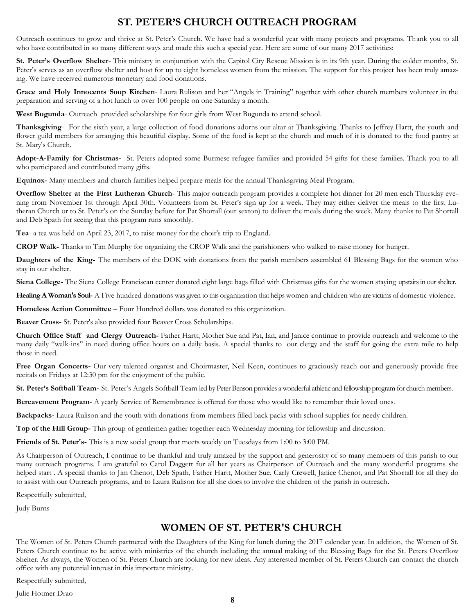#### **ST. PETER'S CHURCH OUTREACH PROGRAM**

Outreach continues to grow and thrive at St. Peter's Church. We have had a wonderful year with many projects and programs. Thank you to all who have contributed in so many different ways and made this such a special year. Here are some of our many 2017 activities:

**St. Peter's Overflow Shelter**- This ministry in conjunction with the Capitol City Rescue Mission is in its 9th year. During the colder months, St. Peter's serves as an overflow shelter and host for up to eight homeless women from the mission. The support for this project has been truly amazing. We have received numerous monetary and food donations.

**Grace and Holy Innocents Soup Kitchen**- Laura Rulison and her "Angels in Training" together with other church members volunteer in the preparation and serving of a hot lunch to over 100 people on one Saturday a month.

**West Bugunda**- Outreach provided scholarships for four girls from West Bugunda to attend school.

**Thanksgiving**- For the sixth year, a large collection of food donations adorns our altar at Thanksgiving. Thanks to Jeffrey Hartt, the youth and flower guild members for arranging this beautiful display. Some of the food is kept at the church and much of it is donated to the food pantry at St. Mary's Church.

**Adopt-A-Family for Christmas-** St. Peters adopted some Burmese refugee families and provided 54 gifts for these families. Thank you to all who participated and contributed many gifts.

**Equinox-** Many members and church families helped prepare meals for the annual Thanksgiving Meal Program.

**Overflow Shelter at the First Lutheran Church**- This major outreach program provides a complete hot dinner for 20 men each Thursday evening from November 1st through April 30th. Volunteers from St. Peter's sign up for a week. They may either deliver the meals to the first Lutheran Church or to St. Peter's on the Sunday before for Pat Shortall (our sexton) to deliver the meals during the week. Many thanks to Pat Shortall and Deb Spath for seeing that this program runs smoothly.

**Tea**- a tea was held on April 23, 2017, to raise money for the choir's trip to England.

**CROP Walk-** Thanks to Tim Murphy for organizing the CROP Walk and the parishioners who walked to raise money for hunger.

**Daughters of the King-** The members of the DOK with donations from the parish members assembled 61 Blessing Bags for the women who stay in our shelter.

**Siena College-** The Siena College Franciscan center donated eight large bags filled with Christmas gifts for the women staying upstairs in our shelter.

**Healing A Woman's Soul-** A Five hundred donations was given to this organization that helps women and children who are victims of domestic violence.

**Homeless Action Committee** – Four Hundred dollars was donated to this organization.

**Beaver Cross-** St. Peter's also provided four Beaver Cross Scholarships.

**Church Office Staff and Clergy Outreach-** Father Hartt, Mother Sue and Pat, Ian, and Janice continue to provide outreach and welcome to the many daily "walk-ins" in need during office hours on a daily basis. A special thanks to our clergy and the staff for going the extra mile to help those in need.

Free Organ Concerts- Our very talented organist and Choirmaster, Neil Keen, continues to graciously reach out and generously provide free recitals on Fridays at 12:30 pm for the enjoyment of the public.

**St. Peter's Softball Team-** St. Peter's Angels Softball Team led by Peter Benson provides a wonderful athletic and fellowship program for church members.

**Bereavement Program**- A yearly Service of Remembrance is offered for those who would like to remember their loved ones.

**Backpacks-** Laura Rulison and the youth with donations from members filled back packs with school supplies for needy children.

**Top of the Hill Group-** This group of gentlemen gather together each Wednesday morning for fellowship and discussion.

**Friends of St. Peter's-** This is a new social group that meets weekly on Tuesdays from 1:00 to 3:00 PM.

As Chairperson of Outreach, I continue to be thankful and truly amazed by the support and generosity of so many members of this parish to our many outreach programs. I am grateful to Carol Daggett for all her years as Chairperson of Outreach and the many wonderful programs she helped start . A special thanks to Jim Chenot, Deb Spath, Father Hartt, Mother Sue, Carly Crewell, Janice Chenot, and Pat Shortall for all they do to assist with our Outreach programs, and to Laura Rulison for all she does to involve the children of the parish in outreach.

Respectfully submitted,

Judy Burns

#### **WOMEN OF ST. PETER'S CHURCH**

The Women of St. Peters Church partnered with the Daughters of the King for lunch during the 2017 calendar year. In addition, the Women of St. Peters Church continue to be active with ministries of the church including the annual making of the Blessing Bags for the St. Peters Overflow Shelter. As always, the Women of St. Peters Church are looking for new ideas. Any interested member of St. Peters Church can contact the church office with any potential interest in this important ministry.

Respectfully submitted,

Julie Hotmer Drao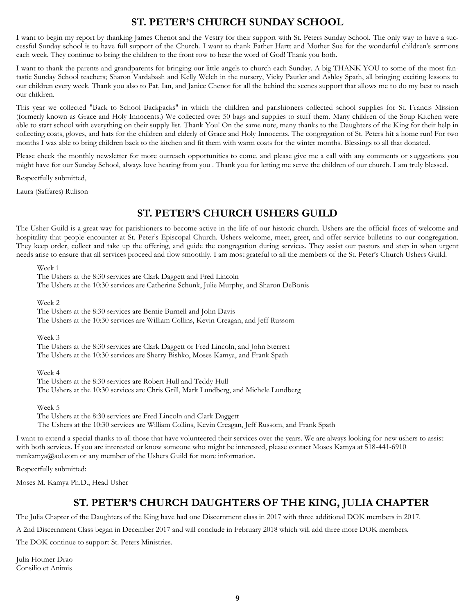#### **ST. PETER'S CHURCH SUNDAY SCHOOL**

I want to begin my report by thanking James Chenot and the Vestry for their support with St. Peters Sunday School. The only way to have a successful Sunday school is to have full support of the Church. I want to thank Father Hartt and Mother Sue for the wonderful children's sermons each week. They continue to bring the children to the front row to hear the word of God! Thank you both.

I want to thank the parents and grandparents for bringing our little angels to church each Sunday. A big THANK YOU to some of the most fantastic Sunday School teachers; Sharon Vardabash and Kelly Welch in the nursery, Vicky Pautler and Ashley Spath, all bringing exciting lessons to our children every week. Thank you also to Pat, Ian, and Janice Chenot for all the behind the scenes support that allows me to do my best to reach our children.

This year we collected "Back to School Backpacks" in which the children and parishioners collected school supplies for St. Francis Mission (formerly known as Grace and Holy Innocents.) We collected over 50 bags and supplies to stuff them. Many children of the Soup Kitchen were able to start school with everything on their supply list. Thank You! On the same note, many thanks to the Daughters of the King for their help in collecting coats, gloves, and hats for the children and elderly of Grace and Holy Innocents. The congregation of St. Peters hit a home run! For two months I was able to bring children back to the kitchen and fit them with warm coats for the winter months. Blessings to all that donated.

Please check the monthly newsletter for more outreach opportunities to come, and please give me a call with any comments or suggestions you might have for our Sunday School, always love hearing from you . Thank you for letting me serve the children of our church. I am truly blessed.

Respectfully submitted,

Laura (Saffares) Rulison

#### **ST. PETER'S CHURCH USHERS GUILD**

The Usher Guild is a great way for parishioners to become active in the life of our historic church. Ushers are the official faces of welcome and hospitality that people encounter at St. Peter's Episcopal Church. Ushers welcome, meet, greet, and offer service bulletins to our congregation. They keep order, collect and take up the offering, and guide the congregation during services. They assist our pastors and step in when urgent needs arise to ensure that all services proceed and flow smoothly. I am most grateful to all the members of the St. Peter's Church Ushers Guild.

Week 1

The Ushers at the 8:30 services are Clark Daggett and Fred Lincoln

The Ushers at the 10:30 services are Catherine Schunk, Julie Murphy, and Sharon DeBonis

Week 2

The Ushers at the 8:30 services are Bernie Burnell and John Davis The Ushers at the 10:30 services are William Collins, Kevin Creagan, and Jeff Russom

Week 3

The Ushers at the 8:30 services are Clark Daggett or Fred Lincoln, and John Sterrett The Ushers at the 10:30 services are Sherry Bishko, Moses Kamya, and Frank Spath

Week 4

The Ushers at the 8:30 services are Robert Hull and Teddy Hull The Ushers at the 10:30 services are Chris Grill, Mark Lundberg, and Michele Lundberg

Week 5

The Ushers at the 8:30 services are Fred Lincoln and Clark Daggett The Ushers at the 10:30 services are William Collins, Kevin Creagan, Jeff Russom, and Frank Spath

I want to extend a special thanks to all those that have volunteered their services over the years. We are always looking for new ushers to assist with both services. If you are interested or know someone who might be interested, please contact Moses Kamya at 518-441-6910 mmkamya@aol.com or any member of the Ushers Guild for more information.

Respectfully submitted:

Moses M. Kamya Ph.D., Head Usher

#### **ST. PETER'S CHURCH DAUGHTERS OF THE KING, JULIA CHAPTER**

The Julia Chapter of the Daughters of the King have had one Discernment class in 2017 with three additional DOK members in 2017. A 2nd Discernment Class began in December 2017 and will conclude in February 2018 which will add three more DOK members.

The DOK continue to support St. Peters Ministries.

Julia Hotmer Drao Consilio et Animis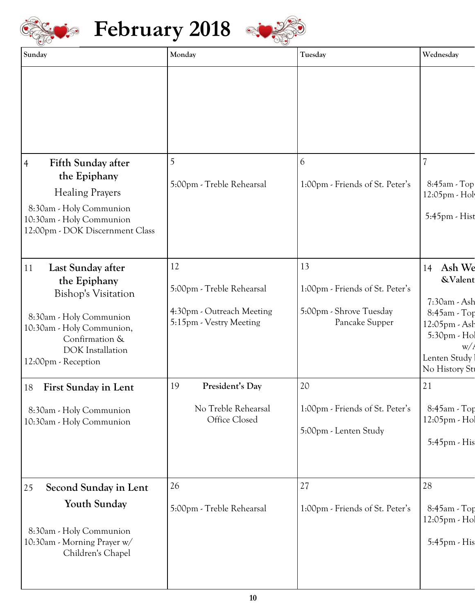

# **February 2018**



| Sunday                                                                                                                                                                                            | Monday                                                                                  | Tuesday                                                                            | Wednesday                                                                                                                                |
|---------------------------------------------------------------------------------------------------------------------------------------------------------------------------------------------------|-----------------------------------------------------------------------------------------|------------------------------------------------------------------------------------|------------------------------------------------------------------------------------------------------------------------------------------|
|                                                                                                                                                                                                   |                                                                                         |                                                                                    |                                                                                                                                          |
|                                                                                                                                                                                                   |                                                                                         |                                                                                    |                                                                                                                                          |
| Fifth Sunday after<br>$\overline{4}$<br>the Epiphany<br><b>Healing Prayers</b><br>8:30am - Holy Communion<br>10:30am - Holy Communion<br>12:00pm - DOK Discernment Class                          | 5:00pm - Treble Rehearsal                                                               | 1:00pm - Friends of St. Peter's                                                    | 8:45am - Top<br>12:05pm - Hol<br>5:45pm - Hist                                                                                           |
| Last Sunday after<br>11<br>the Epiphany<br><b>Bishop's Visitation</b><br>8:30am - Holy Communion<br>10:30am - Holy Communion,<br>Confirmation &<br><b>DOK</b> Installation<br>12:00pm - Reception | 12<br>5:00pm - Treble Rehearsal<br>4:30pm - Outreach Meeting<br>5:15pm - Vestry Meeting | 13<br>1:00pm - Friends of St. Peter's<br>5:00pm - Shrove Tuesday<br>Pancake Supper | 14 Ash We<br><b>&amp;Valent</b><br>7:30am - Ash<br>8:45am - Top<br>12:05pm - Ash<br>5:30pm - Hol<br>W/<br>Lenten Study<br>No History Sti |
| 18 First Sunday in Lent<br>8:30am - Holy Communion<br>10:30am - Holy Communion                                                                                                                    | 19<br>President's Day<br>No Treble Rehearsal<br>Office Closed                           | 20<br>1:00pm - Friends of St. Peter's<br>5:00pm - Lenten Study                     | 21<br>8:45am - Top<br>12:05pm - Hol<br>5:45pm - His                                                                                      |
| Second Sunday in Lent<br>25<br>Youth Sunday<br>8:30am - Holy Communion<br>10:30am - Morning Prayer w/<br>Children's Chapel                                                                        | 26<br>5:00pm - Treble Rehearsal                                                         | 27<br>1:00pm - Friends of St. Peter's                                              | 28<br>8:45am - Top<br>12:05pm - Hol<br>5:45pm - His                                                                                      |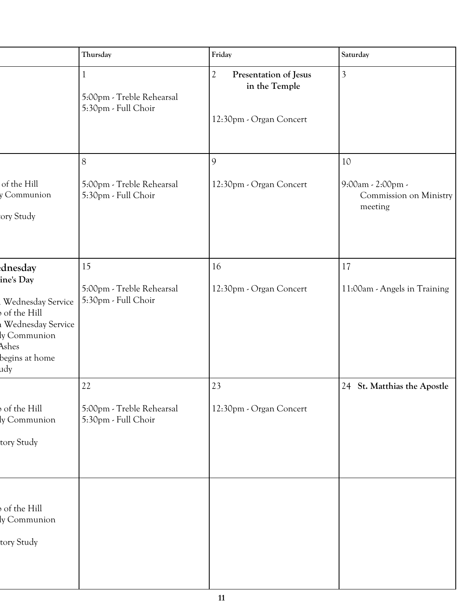|                                                                                                                                 | Thursday                                               | Friday                                                                             | Saturday                                                 |
|---------------------------------------------------------------------------------------------------------------------------------|--------------------------------------------------------|------------------------------------------------------------------------------------|----------------------------------------------------------|
|                                                                                                                                 | 5:00pm - Treble Rehearsal<br>$5:30pm$ - Full Choir     | Presentation of Jesus<br>$\mathcal{D}$<br>in the Temple<br>12:30pm - Organ Concert | 3                                                        |
|                                                                                                                                 | 8                                                      |                                                                                    | 10                                                       |
| of the Hill<br>y Communion<br>ory Study                                                                                         | 5:00pm - Treble Rehearsal<br>5:30pm - Full Choir       | 12:30pm - Organ Concert                                                            | $9:00am - 2:00pm -$<br>Commission on Ministry<br>meeting |
| dnesday<br>ine's Day<br>Wednesday Service<br>of the Hill<br>Wednesday Service<br>ly Communion<br>Ashes<br>begins at home<br>udy | 15<br>5:00pm - Treble Rehearsal<br>5:30pm - Full Choir | 16<br>12:30pm - Organ Concert                                                      | 17<br>11:00am - Angels in Training                       |
|                                                                                                                                 | 22                                                     | 23                                                                                 | 24 St. Matthias the Apostle                              |
| of the Hill<br>ly Communion<br>tory Study                                                                                       | 5:00pm - Treble Rehearsal<br>$5:30pm$ - Full Choir     | 12:30pm - Organ Concert                                                            |                                                          |
| of the Hill<br>ly Communion<br>tory Study                                                                                       |                                                        |                                                                                    |                                                          |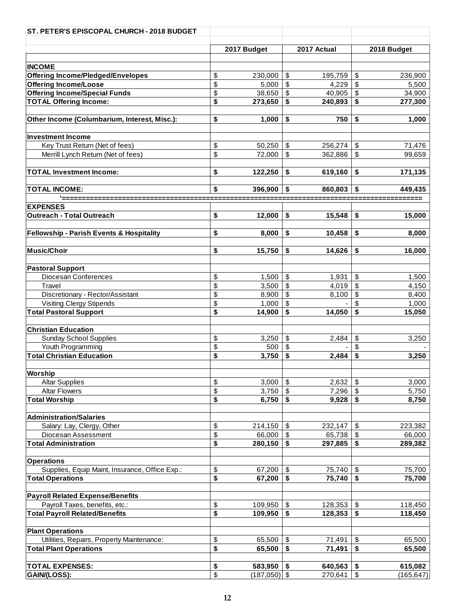| ST. PETER'S EPISCOPAL CHURCH - 2018 BUDGET     |                      |                         |             |                           |             |
|------------------------------------------------|----------------------|-------------------------|-------------|---------------------------|-------------|
|                                                |                      |                         |             |                           |             |
|                                                | 2017 Budget          |                         | 2017 Actual |                           | 2018 Budget |
|                                                |                      |                         |             |                           |             |
| <b>INCOME</b>                                  |                      |                         |             |                           |             |
| <b>Offering Income/Pledged/Envelopes</b>       | \$<br>230,000        | \$                      | 195,759     | \$                        | 236,900     |
| <b>Offering Income/Loose</b>                   | \$<br>5,000          | \$                      | 4,229       | \$                        | 5,500       |
| <b>Offering Income/Special Funds</b>           | \$<br>38,650         | \$                      | 40,905      | \$                        | 34,900      |
| <b>TOTAL Offering Income:</b>                  | \$<br>273,650        | -\$                     | 240,893     | \$                        | 277,300     |
| Other Income (Columbarium, Interest, Misc.):   | \$<br>1,000          | \$                      | 750         | \$                        | 1,000       |
| <b>Investment Income</b>                       |                      |                         |             |                           |             |
| Key Trust Return (Net of fees)                 | \$<br>50,250         | \$                      | 256,274     | \$                        | 71,476      |
| Merrill Lynch Return (Net of fees)             | \$<br>72,000         | \$                      | 362,886     | \$                        | 99,659      |
| <b>TOTAL Investment Income:</b>                | \$<br>122,250        | -\$                     | 619,160     | \$                        | 171,135     |
| <b>TOTAL INCOME:</b>                           | \$<br>396,900        | \$                      | 860,803     | S                         | 449,435     |
| '=======                                       |                      |                         |             |                           |             |
| <b>EXPENSES</b>                                |                      |                         |             |                           |             |
| Outreach - Total Outreach                      | \$<br>12,000         | \$                      | 15,548      | \$                        | 15,000      |
| Fellowship - Parish Events & Hospitality       | \$<br>8,000          | \$                      | 10,458      | \$                        | 8,000       |
| Music/Choir                                    | \$<br>15,750         | -\$                     | 14,626      | \$                        | 16,000      |
| <b>Pastoral Support</b>                        |                      |                         |             |                           |             |
| Diocesan Conferences                           | \$<br>1,500          | \$                      | 1,931       | \$                        | 1,500       |
| Travel                                         | \$<br>3,500          | $\mathfrak s$           | 4,019       | $\mathfrak s$             | 4,150       |
| Discretionary - Rector/Assistant               | \$<br>8,900          | $\sqrt[6]{\frac{1}{2}}$ | 8,100       | \$                        | 8,400       |
| <b>Visiting Clergy Stipends</b>                | \$<br>1,000          | \$                      |             | \$                        | 1,000       |
| <b>Total Pastoral Support</b>                  | \$<br>14,900         | \$                      | 14,050      | \$                        | 15,050      |
|                                                |                      |                         |             |                           |             |
| <b>Christian Education</b>                     |                      |                         |             |                           |             |
| <b>Sunday School Supplies</b>                  | \$<br>3,250          | \$                      | 2,484       | \$                        | 3,250       |
| Youth Programming                              | \$<br>500            | \$                      |             | \$                        |             |
| <b>Total Christian Education</b>               | \$<br>3,750          | \$                      | 2,484       | \$                        | 3,250       |
| Worship                                        |                      |                         |             |                           |             |
| <b>Altar Supplies</b>                          | \$<br>3,000          | \$                      | 2,632       | $\boldsymbol{\mathsf{S}}$ | 3,000       |
| <b>Altar Flowers</b>                           | \$<br>3,750          | \$                      | 7,296       | $\sqrt[6]{\frac{1}{2}}$   | 5,750       |
| <b>Total Worship</b>                           | \$<br>6,750          | \$                      | 9,928       | \$                        | 8,750       |
|                                                |                      |                         |             |                           |             |
| <b>Administration/Salaries</b>                 |                      |                         |             |                           |             |
| Salary: Lay, Clergy, Other                     | \$<br>214,150        | \$                      | 232,147     | \$                        | 223,382     |
| Diocesan Assessment                            | \$<br>66,000         | \$                      | 65,738      | $\sqrt[6]{\frac{1}{2}}$   | 66,000      |
| <b>Total Administration</b>                    | \$<br>280,150        | \$                      | 297,885     | \$                        | 289,382     |
| <b>Operations</b>                              |                      |                         |             |                           |             |
| Supplies, Equip Maint, Insurance, Office Exp.: | \$<br>67,200         | -\$                     | 75,740      | \$                        | 75,700      |
| <b>Total Operations</b>                        | \$<br>67,200         | \$                      | 75,740      | \$                        | 75,700      |
| <b>Payroll Related Expense/Benefits</b>        |                      |                         |             |                           |             |
| Payroll Taxes, benefits, etc.:                 | \$<br>109,950        | -\$                     | 128,353     | \$                        | 118,450     |
| <b>Total Payroll Related/Benefits</b>          | \$<br>109,950        | \$                      | 128,353     | \$                        | 118,450     |
|                                                |                      |                         |             |                           |             |
| <b>Plant Operations</b>                        |                      |                         |             |                           |             |
| Utilities, Repairs, Property Maintenance:      | \$<br>65,500         | \$                      | 71,491      | \$                        | 65,500      |
| <b>Total Plant Operations</b>                  | \$<br>65,500         | \$                      | 71,491      | \$                        | 65,500      |
| <b>TOTAL EXPENSES:</b>                         | \$<br>583,950        | -\$                     | 640,563     | \$                        | 615,082     |
| GAIN/(LOSS):                                   | \$<br>$(187,050)$ \$ |                         | 270,641     | \$                        | (165, 647)  |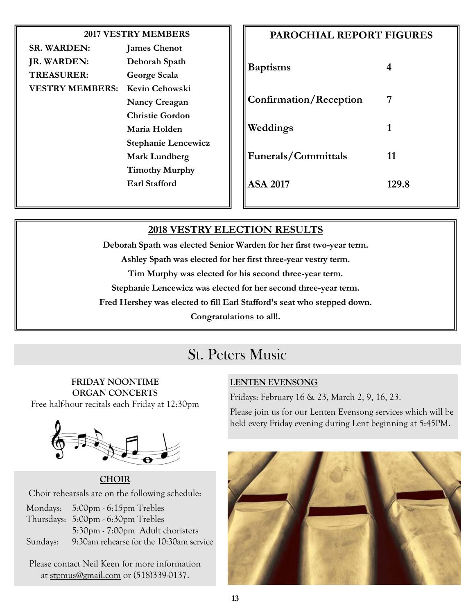| <b>2017 VESTRY MEMBERS</b> |                            |  |                 |  |
|----------------------------|----------------------------|--|-----------------|--|
| <b>SR. WARDEN:</b>         | <b>James Chenot</b>        |  |                 |  |
| JR. WARDEN:                | Deborah Spath              |  |                 |  |
| <b>TREASURER:</b>          | George Scala               |  | <b>B</b> aptism |  |
| <b>VESTRY MEMBERS:</b>     | Kevin Cehowski             |  |                 |  |
|                            | <b>Nancy Creagan</b>       |  | Confirm         |  |
|                            | <b>Christie Gordon</b>     |  |                 |  |
|                            | Maria Holden               |  | Weddin          |  |
|                            | <b>Stephanie Lencewicz</b> |  |                 |  |
| <b>Mark Lundberg</b>       |                            |  | Funeral         |  |
|                            | <b>Timothy Murphy</b>      |  |                 |  |
|                            | Earl Stafford              |  | <b>ASA 201</b>  |  |
|                            |                            |  |                 |  |

| <b>PAROCHIAL REPORT FIGURES</b> |  |  |  |  |
|---------------------------------|--|--|--|--|
| 4                               |  |  |  |  |
| 7                               |  |  |  |  |
| 1                               |  |  |  |  |
| 11                              |  |  |  |  |
| 129.8                           |  |  |  |  |
|                                 |  |  |  |  |

#### **2018 VESTRY ELECTION RESULTS**

**Deborah Spath was elected Senior Warden for her first two-year term.**

**Ashley Spath was elected for her first three-year vestry term.**

**Tim Murphy was elected for his second three-year term.**

**Stephanie Lencewicz was elected for her second three-year term.**

**Fred Hershey was elected to fill Earl Stafford's seat who stepped down.** 

**Congratulations to all!.**

## St. Peters Music

### **FRIDAY NOONTIME ORGAN CONCERTS**

Free half-hour recitals each Friday at 12:30pm



**CHOIR** Choir rehearsals are on the following schedule:

Mondays: 5:00pm - 6:15pm Trebles Thursdays: 5:00pm - 6:30pm Trebles 5:30pm - 7:00pm Adult choristers Sundays: 9:30am rehearse for the 10:30am service

Please contact Neil Keen for more information at [stpmus@gmail.com](mailto:stpmus@gmail.com) or (518)339-0137.

#### **LENTEN EVENSONG**

Fridays: February 16 & 23, March 2, 9, 16, 23.

Please join us for our Lenten Evensong services which will be held every Friday evening during Lent beginning at 5:45PM.

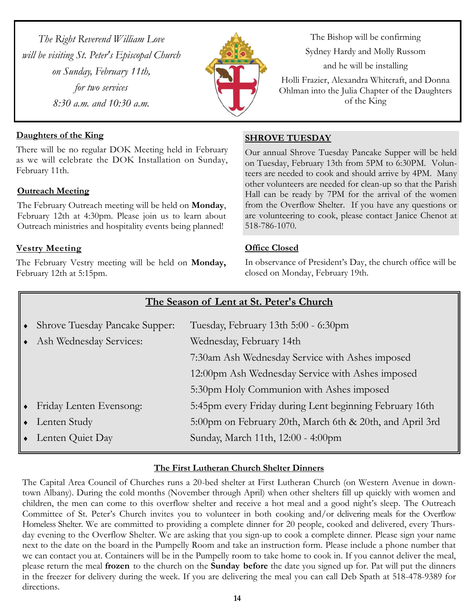*The Right Reverend William Love will be visiting St. Peter's Episcopal Church on Sunday, February 11th, for two services 8:30 a.m. and 10:30 a.m.*



The Bishop will be confirming Sydney Hardy and Molly Russom and he will be installing

Holli Frazier, Alexandra Whitcraft, and Donna Ohlman into the Julia Chapter of the Daughters of the King

#### **Daughters of the King**

There will be no regular DOK Meeting held in February as we will celebrate the DOK Installation on Sunday, February 11th.

#### **Outreach Meeting**

The February Outreach meeting will be held on **Monday**, February 12th at 4:30pm. Please join us to learn about Outreach ministries and hospitality events being planned!

#### **Vestry Meeting**

The February Vestry meeting will be held on **Monday,**  February 12th at 5:15pm.

#### **SHROVE TUESDAY**

Our annual Shrove Tuesday Pancake Supper will be held on Tuesday, February 13th from 5PM to 6:30PM. Volunteers are needed to cook and should arrive by 4PM. Many other volunteers are needed for clean-up so that the Parish Hall can be ready by 7PM for the arrival of the women from the Overflow Shelter. If you have any questions or are volunteering to cook, please contact Janice Chenot at 518-786-1070.

#### **Office Closed**

In observance of President's Day, the church office will be closed on Monday, February 19th.

|           | The Season of Lent at St. Peter's Church |                                                          |  |  |  |  |
|-----------|------------------------------------------|----------------------------------------------------------|--|--|--|--|
| $\bullet$ | <b>Shrove Tuesday Pancake Supper:</b>    | Tuesday, February 13th 5:00 - 6:30pm                     |  |  |  |  |
|           | • Ash Wednesday Services:                | Wednesday, February 14th                                 |  |  |  |  |
|           |                                          | 7:30am Ash Wednesday Service with Ashes imposed          |  |  |  |  |
|           |                                          | 12:00pm Ash Wednesday Service with Ashes imposed         |  |  |  |  |
|           |                                          | 5:30pm Holy Communion with Ashes imposed                 |  |  |  |  |
|           | • Friday Lenten Evensong:                | 5:45pm every Friday during Lent beginning February 16th  |  |  |  |  |
|           | $\bullet$ Lenten Study                   | 5:00pm on February 20th, March 6th & 20th, and April 3rd |  |  |  |  |
|           | $\bullet$ Lenten Quiet Day               | Sunday, March 11th, 12:00 - 4:00pm                       |  |  |  |  |

#### **The First Lutheran Church Shelter Dinners**

The Capital Area Council of Churches runs a 20-bed shelter at First Lutheran Church (on Western Avenue in downtown Albany). During the cold months (November through April) when other shelters fill up quickly with women and children, the men can come to this overflow shelter and receive a hot meal and a good night's sleep. The Outreach Committee of St. Peter's Church invites you to volunteer in both cooking and/or delivering meals for the Overflow Homeless Shelter. We are committed to providing a complete dinner for 20 people, cooked and delivered, every Thursday evening to the Overflow Shelter. We are asking that you sign-up to cook a complete dinner. Please sign your name next to the date on the board in the Pumpelly Room and take an instruction form. Please include a phone number that we can contact you at. Containers will be in the Pumpelly room to take home to cook in. If you cannot deliver the meal, please return the meal **frozen** to the church on the **Sunday before** the date you signed up for. Pat will put the dinners in the freezer for delivery during the week. If you are delivering the meal you can call Deb Spath at 518-478-9389 for directions.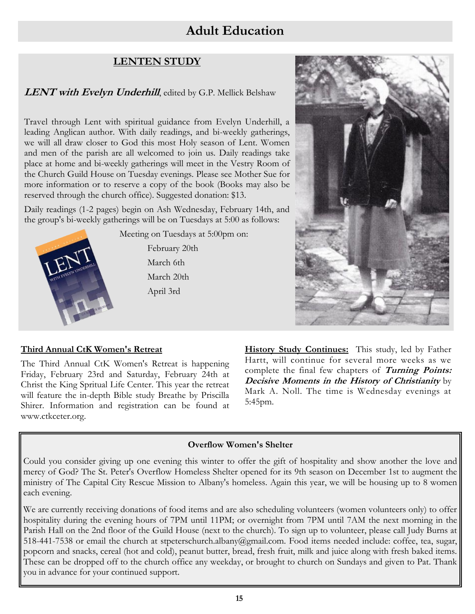## **Adult Education**

#### **LENTEN STUDY**

#### **LENT with Evelyn Underhill**, edited by G.P. Mellick Belshaw

Travel through Lent with spiritual guidance from Evelyn Underhill, a leading Anglican author. With daily readings, and bi-weekly gatherings, we will all draw closer to God this most Holy season of Lent. Women and men of the parish are all welcomed to join us. Daily readings take place at home and bi-weekly gatherings will meet in the Vestry Room of the Church Guild House on Tuesday evenings. Please see Mother Sue for more information or to reserve a copy of the book (Books may also be reserved through the church office). Suggested donation: \$13.

Daily readings (1-2 pages) begin on Ash Wednesday, February 14th, and the group's bi-weekly gatherings will be on Tuesdays at 5:00 as follows:



Meeting on Tuesdays at 5:00pm on: February 20th March 6th March 20th April 3rd



#### **Third Annual CtK Women's Retreat**

The Third Annual CtK Women's Retreat is happening Friday, February 23rd and Saturday, February 24th at Christ the King Spritual Life Center. This year the retreat will feature the in-depth Bible study Breathe by Priscilla Shirer. Information and registration can be found at www.ctkceter.org.

**History Study Continues:** This study, led by Father Hartt, will continue for several more weeks as we complete the final few chapters of **Turning Points: Decisive Moments in the History of Christianity** by Mark A. Noll. The time is Wednesday evenings at 5:45pm.

#### **Overflow Women's Shelter**

Could you consider giving up one evening this winter to offer the gift of hospitality and show another the love and mercy of God? The St. Peter's Overflow Homeless Shelter opened for its 9th season on December 1st to augment the ministry of The Capital City Rescue Mission to Albany's homeless. Again this year, we will be housing up to 8 women each evening.

We are currently receiving donations of food items and are also scheduling volunteers (women volunteers only) to offer hospitality during the evening hours of 7PM until 11PM; or overnight from 7PM until 7AM the next morning in the Parish Hall on the 2nd floor of the Guild House (next to the church). To sign up to volunteer, please call Judy Burns at 518-441-7538 or email the church at stpeterschurch.albany@gmail.com. Food items needed include: coffee, tea, sugar, popcorn and snacks, cereal (hot and cold), peanut butter, bread, fresh fruit, milk and juice along with fresh baked items. These can be dropped off to the church office any weekday, or brought to church on Sundays and given to Pat. Thank you in advance for your continued support.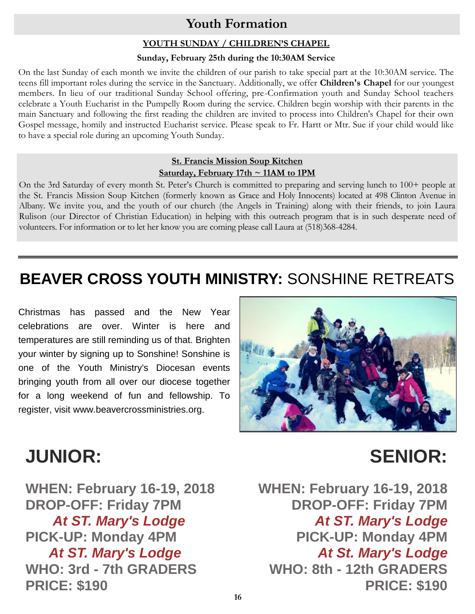## **Youth Formation**

#### **YOUTH SUNDAY / CHILDREN'S CHAPEL**

#### **Sunday, February 25th during the 10:30AM Service**

On the last Sunday of each month we invite the children of our parish to take special part at the 10:30AM service. The teens fill important roles during the service in the Sanctuary. Additionally, we offer **Children's Chapel** for our youngest members. In lieu of our traditional Sunday School offering, pre-Confirmation youth and Sunday School teachers celebrate a Youth Eucharist in the Pumpelly Room during the service. Children begin worship with their parents in the main Sanctuary and following the first reading the children are invited to process into Children's Chapel for their own Gospel message, homily and instructed Eucharist service. Please speak to Fr. Hartt or Mtr. Sue if your child would like to have a special role during an upcoming Youth Sunday.

#### **St. Francis Mission Soup Kitchen Saturday, February 17th ~ 11AM to 1PM**

On the 3rd Saturday of every month St. Peter's Church is committed to preparing and serving lunch to 100+ people at the St. Francis Mission Soup Kitchen (formerly known as Grace and Holy Innocents) located at 498 Clinton Avenue in Albany. We invite you, and the youth of our church (the Angels in Training) along with their friends, to join Laura Rulison (our Director of Christian Education) in helping with this outreach program that is in such desperate need of volunteers. For information or to let her know you are coming please call Laura at (518)368-4284.

## **BEAVER CROSS YOUTH MINISTRY:** SONSHINE RETREATS

Christmas has passed and the New Year celebrations are over. Winter is here and temperatures are still reminding us of that. Brighten your winter by signing up to Sonshine! Sonshine is one of the Youth Ministry's Diocesan events bringing youth from all over our diocese together for a long weekend of fun and fellowship. To register, visit www.beavercrossministries.org.



## **JUNIOR: SENIOR:**

**WHEN: February 16-19, 2018 DROP-OFF: Friday 7PM** *At ST. Mary's Lodge* **PICK-UP: Monday 4PM** *At ST. Mary's Lodge* **WHO: 3rd - 7th GRADERS PRICE: \$190**

**WHEN: February 16-19, 2018 DROP-OFF: Friday 7PM** *At ST. Mary's Lodge* **PICK-UP: Monday 4PM** *At St. Mary's Lodge* **WHO: 8th - 12th GRADERS PRICE: \$190**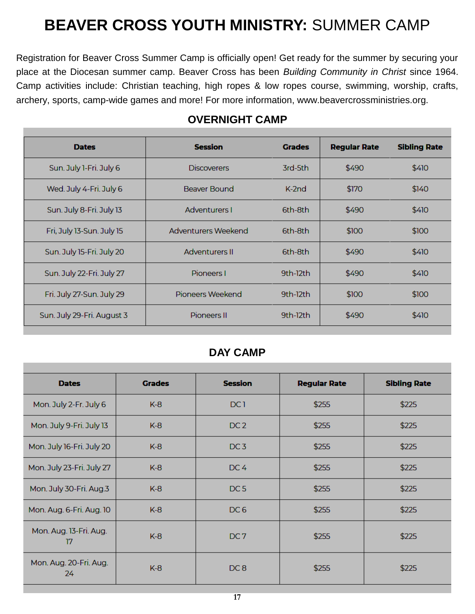## **BEAVER CROSS YOUTH MINISTRY:** SUMMER CAMP

Registration for Beaver Cross Summer Camp is officially open! Get ready for the summer by securing your place at the Diocesan summer camp. Beaver Cross has been *Building Community in Christ* since 1964. Camp activities include: Christian teaching, high ropes & low ropes course, swimming, worship, crafts, archery, sports, camp-wide games and more! For more information, www.beavercrossministries.org.

| <b>Dates</b>               | <b>Session</b>        | <b>Grades</b> | <b>Regular Rate</b> | <b>Sibling Rate</b> |
|----------------------------|-----------------------|---------------|---------------------|---------------------|
| Sun. July 1-Fri. July 6    | <b>Discoverers</b>    | 3rd-5th       | \$490               | \$410               |
| Wed. July 4-Fri. July 6    | Beaver Bound          | $K-2nd$       | \$170               | \$140               |
| Sun. July 8-Fri. July 13   | Adventurers I         | 6th-8th       | \$490               | \$410               |
| Fri, July 13-Sun. July 15  | Adventurers Weekend   | 6th-8th       | \$100               | \$100               |
| Sun. July 15-Fri. July 20  | <b>Adventurers II</b> | 6th-8th       | \$490               | \$410               |
| Sun. July 22-Fri. July 27  | Pioneers I            | $9th-12th$    | \$490               | \$410               |
| Fri. July 27-Sun. July 29  | Pioneers Weekend      | 9th-12th      | \$100               | \$100               |
| Sun. July 29-Fri. August 3 | Pioneers II           | $9th-12th$    | \$490               | \$410               |
|                            |                       |               |                     |                     |

#### **OVERNIGHT CAMP**

#### **DAY CAMP**

| <b>Dates</b>                 | <b>Grades</b> | <b>Session</b>  | <b>Regular Rate</b> | <b>Sibling Rate</b> |
|------------------------------|---------------|-----------------|---------------------|---------------------|
| Mon. July 2-Fr. July 6       | $K-8$         | DC <sub>1</sub> | \$255               | \$225               |
| Mon. July 9-Fri. July 13     | $K-8$         | DC <sub>2</sub> | \$255               | \$225               |
| Mon. July 16-Fri. July 20    | $K-8$         | DC <sub>3</sub> | \$255               | \$225               |
| Mon. July 23-Fri. July 27    | $K-8$         | DC <sub>4</sub> | \$255               | \$225               |
| Mon. July 30-Fri. Aug.3      | $K-8$         | DC <sub>5</sub> | \$255               | \$225               |
| Mon. Aug. 6-Fri. Aug. 10     | $K-8$         | DC <sub>6</sub> | \$255               | \$225               |
| Mon. Aug. 13-Fri. Aug.<br>17 | $K-8$         | DC <sub>7</sub> | \$255               | \$225               |
| Mon. Aug. 20-Fri. Aug.<br>24 | $K-8$         | DC <sub>8</sub> | \$255               | \$225               |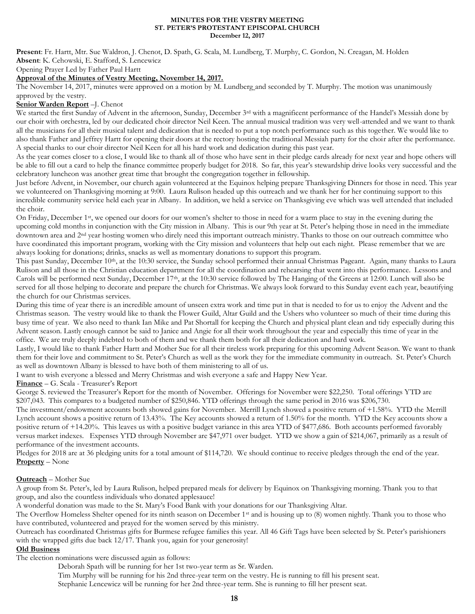#### **MINUTES FOR THE VESTRY MEETING ST. PETER'S PROTESTANT EPISCOPAL CHURCH December 12, 2017**

**Present**: Fr. Hartt, Mtr. Sue Waldron, J. Chenot, D. Spath, G. Scala, M. Lundberg, T. Murphy, C. Gordon, N. Creagan, M. Holden **Absent**: K. Cehowski, E. Stafford, S. Lencewicz

Opening Prayer Led by Father Paul Hartt

#### **Approval of the Minutes of Vestry Meeting, November 14, 2017.**

The November 14, 2017, minutes were approved on a motion by M. Lundberg and seconded by T. Murphy. The motion was unanimously approved by the vestry.

#### **Senior Warden Report** –J. Chenot

We started the first Sunday of Advent in the afternoon, Sunday, December 3<sup>rd</sup> with a magnificent performance of the Handel's Messiah done by our choir with orchestra, led by our dedicated choir director Neil Keen. The annual musical tradition was very well-attended and we want to thank all the musicians for all their musical talent and dedication that is needed to put a top notch performance such as this together. We would like to also thank Father and Jeffrey Hartt for opening their doors at the rectory hosting the traditional Messiah party for the choir after the performance. A special thanks to our choir director Neil Keen for all his hard work and dedication during this past year.

As the year comes closer to a close, I would like to thank all of those who have sent in their pledge cards already for next year and hope others will be able to fill out a card to help the finance committee properly budget for 2018. So far, this year's stewardship drive looks very successful and the celebratory luncheon was another great time that brought the congregation together in fellowship.

Just before Advent, in November, our church again volunteered at the Equinox helping prepare Thanksgiving Dinners for those in need. This year we volunteered on Thanksgiving morning at 9:00. Laura Rulison headed up this outreach and we thank her for her continuing support to this incredible community service held each year in Albany. In addition, we held a service on Thanksgiving eve which was well attended that included the choir.

On Friday, December 1<sup>st</sup>, we opened our doors for our women's shelter to those in need for a warm place to stay in the evening during the upcoming cold months in conjunction with the City mission in Albany. This is our 9th year at St. Peter's helping those in need in the immediate downtown area and 2nd year hosting women who direly need this important outreach ministry. Thanks to those on our outreach committee who have coordinated this important program, working with the City mission and volunteers that help out each night. Please remember that we are always looking for donations; drinks, snacks as well as momentary donations to support this program.

This past Sunday, December 10th, at the 10:30 service, the Sunday school performed their annual Christmas Pageant. Again, many thanks to Laura Rulison and all those in the Christian education department for all the coordination and rehearsing that went into this performance. Lessons and Carols will be performed next Sunday, December 17th, at the 10:30 service followed by The Hanging of the Greens at 12:00. Lunch will also be served for all those helping to decorate and prepare the church for Christmas. We always look forward to this Sunday event each year, beautifying the church for our Christmas services.

During this time of year there is an incredible amount of unseen extra work and time put in that is needed to for us to enjoy the Advent and the Christmas season. The vestry would like to thank the Flower Guild, Altar Guild and the Ushers who volunteer so much of their time during this busy time of year. We also need to thank Ian Mike and Pat Shortall for keeping the Church and physical plant clean and tidy especially during this Advent season. Lastly enough cannot be said to Janice and Angie for all their work throughout the year and especially this time of year in the office. We are truly deeply indebted to both of them and we thank them both for all their dedication and hard work.

Lastly, I would like to thank Father Hartt and Mother Sue for all their tireless work preparing for this upcoming Advent Season. We want to thank them for their love and commitment to St. Peter's Church as well as the work they for the immediate community in outreach. St. Peter's Church as well as downtown Albany is blessed to have both of them ministering to all of us.

I want to wish everyone a blessed and Merry Christmas and wish everyone a safe and Happy New Year.

**Finance** – G. Scala - Treasurer's Report

George S. reviewed the Treasurer's Report for the month of November. Offerings for November were \$22,250. Total offerings YTD are \$207,043. This compares to a budgeted number of \$250,846. YTD offerings through the same period in 2016 was \$206,730.

The investment/endowment accounts both showed gains for November. Merrill Lynch showed a positive return of +1.58%. YTD the Merrill Lynch account shows a positive return of 13.43%. The Key accounts showed a return of 1.50% for the month. YTD the Key accounts show a positive return of +14.20%. This leaves us with a positive budget variance in this area YTD of \$477,686. Both accounts performed favorably versus market indexes. Expenses YTD through November are \$47,971 over budget. YTD we show a gain of \$214,067, primarily as a result of performance of the investment accounts.

Pledges for 2018 are at 36 pledging units for a total amount of \$114,720. We should continue to receive pledges through the end of the year. **Property** – None

#### **Outreach** – Mother Sue

A group from St. Peter's, led by Laura Rulison, helped prepared meals for delivery by Equinox on Thanksgiving morning. Thank you to that group, and also the countless individuals who donated applesauce!

A wonderful donation was made to the St. Mary's Food Bank with your donations for our Thanksgiving Altar.

The Overflow Homeless Shelter opened for its ninth season on December 1st and is housing up to (8) women nightly. Thank you to those who have contributed, volunteered and prayed for the women served by this ministry.

Outreach has coordinated Christmas gifts for Burmese refugee families this year. All 46 Gift Tags have been selected by St. Peter's parishioners with the wrapped gifts due back 12/17. Thank you, again for your generosity!

#### **Old Business**

The election nominations were discussed again as follows:

Deborah Spath will be running for her 1st two-year term as Sr. Warden.

Tim Murphy will be running for his 2nd three-year term on the vestry. He is running to fill his present seat.

Stephanie Lencewicz will be running for her 2nd three-year term. She is running to fill her present seat.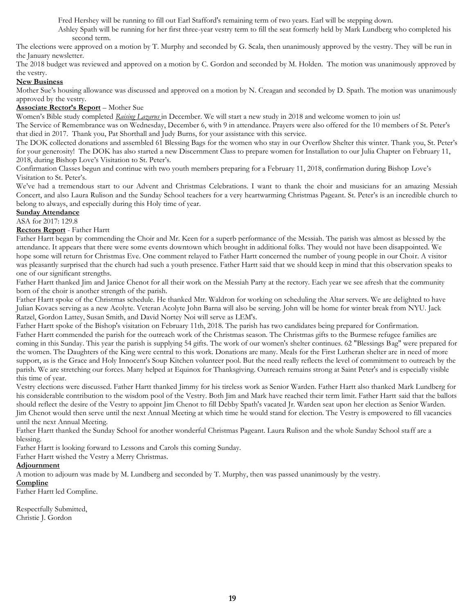Fred Hershey will be running to fill out Earl Stafford's remaining term of two years. Earl will be stepping down.

Ashley Spath will be running for her first three-year vestry term to fill the seat formerly held by Mark Lundberg who completed his second term.

The elections were approved on a motion by T. Murphy and seconded by G. Scala, then unanimously approved by the vestry. They will be run in the January newsletter.

The 2018 budget was reviewed and approved on a motion by C. Gordon and seconded by M. Holden. The motion was unanimously approved by the vestry.

#### **New Business**

Mother Sue's housing allowance was discussed and approved on a motion by N. Creagan and seconded by D. Spath. The motion was unanimously approved by the vestry.

#### **Associate Rector's Report** – Mother Sue

Women's Bible study completed *Raising Lazarus* in December. We will start a new study in 2018 and welcome women to join us!

The Service of Remembrance was on Wednesday, December 6, with 9 in attendance. Prayers were also offered for the 10 members of St. Peter's that died in 2017. Thank you, Pat Shorthall and Judy Burns, for your assistance with this service.

The DOK collected donations and assembled 61 Blessing Bags for the women who stay in our Overflow Shelter this winter. Thank you, St. Peter's for your generosity! The DOK has also started a new Discernment Class to prepare women for Installation to our Julia Chapter on February 11, 2018, during Bishop Love's Visitation to St. Peter's.

Confirmation Classes begun and continue with two youth members preparing for a February 11, 2018, confirmation during Bishop Love's Visitation to St. Peter's.

We've had a tremendous start to our Advent and Christmas Celebrations. I want to thank the choir and musicians for an amazing Messiah Concert, and also Laura Rulison and the Sunday School teachers for a very heartwarming Christmas Pageant. St. Peter's is an incredible church to belong to always, and especially during this Holy time of year.

#### **Sunday Attendance**

ASA for 2017: 129.8

**Rectors Report** - Father Hartt

Father Hartt began by commending the Choir and Mr. Keen for a superb performance of the Messiah. The parish was almost as blessed by the attendance. It appears that there were some events downtown which brought in additional folks. They would not have been disappointed. We hope some will return for Christmas Eve. One comment relayed to Father Hartt concerned the number of young people in our Choir. A visitor was pleasantly surprised that the church had such a youth presence. Father Hartt said that we should keep in mind that this observation speaks to one of our significant strengths.

Father Hartt thanked Jim and Janice Chenot for all their work on the Messiah Party at the rectory. Each year we see afresh that the community born of the choir is another strength of the parish.

Father Hartt spoke of the Christmas schedule. He thanked Mtr. Waldron for working on scheduling the Altar servers. We are delighted to have Julian Kovacs serving as a new Acolyte. Veteran Acolyte John Barna will also be serving. John will be home for winter break from NYU. Jack Ratzel, Gordon Lattey, Susan Smith, and David Nortey Noi will serve as LEM's.

Father Hartt spoke of the Bishop's visitation on February 11th, 2018. The parish has two candidates being prepared for Confirmation.

Father Hartt commended the parish for the outreach work of the Christmas season. The Christmas gifts to the Burmese refugee families are coming in this Sunday. This year the parish is supplying 54 gifts. The work of our women's shelter continues. 62 "Blessings Bag" were prepared for the women. The Daughters of the King were central to this work. Donations are many. Meals for the First Lutheran shelter are in need of more support, as is the Grace and Holy Innocent's Soup Kitchen volunteer pool. But the need really reflects the level of commitment to outreach by the parish. We are stretching our forces. Many helped at Equinox for Thanksgiving. Outreach remains strong at Saint Peter's and is especially visible this time of year.

Vestry elections were discussed. Father Hartt thanked Jimmy for his tireless work as Senior Warden. Father Hartt also thanked Mark Lundberg for his considerable contribution to the wisdom pool of the Vestry. Both Jim and Mark have reached their term limit. Father Hartt said that the ballots should reflect the desire of the Vestry to appoint Jim Chenot to fill Debby Spath's vacated Jr. Warden seat upon her election as Senior Warden. Jim Chenot would then serve until the next Annual Meeting at which time he would stand for election. The Vestry is empowered to fill vacancies until the next Annual Meeting.

Father Hartt thanked the Sunday School for another wonderful Christmas Pageant. Laura Rulison and the whole Sunday School staff are a blessing.

Father Hartt is looking forward to Lessons and Carols this coming Sunday.

Father Hartt wished the Vestry a Merry Christmas.

#### **Adjournment**

A motion to adjourn was made by M. Lundberg and seconded by T. Murphy, then was passed unanimously by the vestry.

**Compline**  Father Hartt led Compline.

Respectfully Submitted, Christie J. Gordon